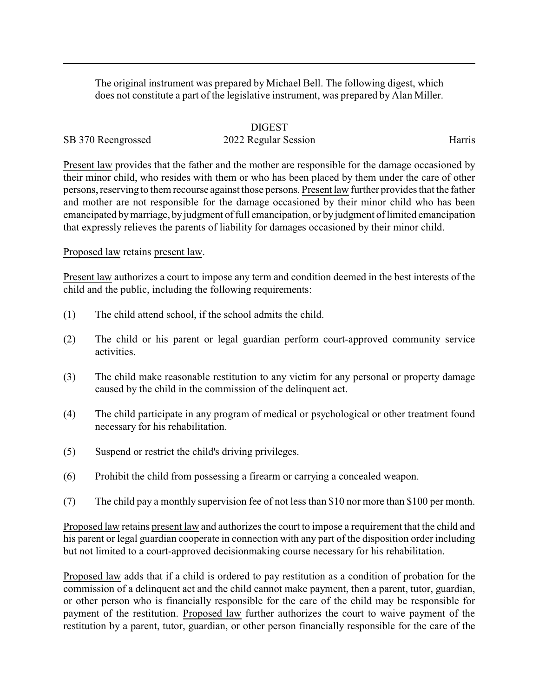The original instrument was prepared by Michael Bell. The following digest, which does not constitute a part of the legislative instrument, was prepared by Alan Miller.

#### DIGEST

# SB 370 Reengrossed 2022 Regular Session Harris

Present law provides that the father and the mother are responsible for the damage occasioned by their minor child, who resides with them or who has been placed by them under the care of other persons, reserving to them recourse against those persons. Present law further provides that the father and mother are not responsible for the damage occasioned by their minor child who has been emancipated bymarriage, byjudgment of full emancipation, or by judgment of limited emancipation that expressly relieves the parents of liability for damages occasioned by their minor child.

## Proposed law retains present law.

Present law authorizes a court to impose any term and condition deemed in the best interests of the child and the public, including the following requirements:

- (1) The child attend school, if the school admits the child.
- (2) The child or his parent or legal guardian perform court-approved community service activities.
- (3) The child make reasonable restitution to any victim for any personal or property damage caused by the child in the commission of the delinquent act.
- (4) The child participate in any program of medical or psychological or other treatment found necessary for his rehabilitation.
- (5) Suspend or restrict the child's driving privileges.
- (6) Prohibit the child from possessing a firearm or carrying a concealed weapon.
- (7) The child pay a monthly supervision fee of not less than \$10 nor more than \$100 per month.

Proposed law retains present law and authorizes the court to impose a requirement that the child and his parent or legal guardian cooperate in connection with any part of the disposition order including but not limited to a court-approved decisionmaking course necessary for his rehabilitation.

Proposed law adds that if a child is ordered to pay restitution as a condition of probation for the commission of a delinquent act and the child cannot make payment, then a parent, tutor, guardian, or other person who is financially responsible for the care of the child may be responsible for payment of the restitution. Proposed law further authorizes the court to waive payment of the restitution by a parent, tutor, guardian, or other person financially responsible for the care of the